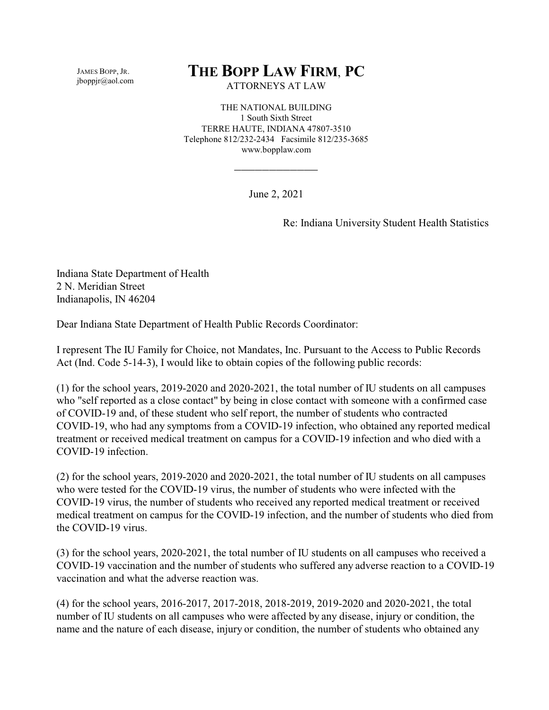JAMES BOPP, JR. jboppjr@aol.com

## **THE BOPP LAW FIRM**, **PC**

ATTORNEYS AT LAW

THE NATIONAL BUILDING 1 South Sixth Street TERRE HAUTE, INDIANA 47807-3510 Telephone 812/232-2434 Facsimile 812/235-3685 www.bopplaw.com

June 2, 2021

\_\_\_\_\_\_\_\_\_\_\_\_

Re: Indiana University Student Health Statistics

Indiana State Department of Health 2 N. Meridian Street Indianapolis, IN 46204

Dear Indiana State Department of Health Public Records Coordinator:

I represent The IU Family for Choice, not Mandates, Inc. Pursuant to the Access to Public Records Act (Ind. Code 5-14-3), I would like to obtain copies of the following public records:

(1) for the school years, 2019-2020 and 2020-2021, the total number of IU students on all campuses who "self reported as a close contact" by being in close contact with someone with a confirmed case of COVID-19 and, of these student who self report, the number of students who contracted COVID-19, who had any symptoms from a COVID-19 infection, who obtained any reported medical treatment or received medical treatment on campus for a COVID-19 infection and who died with a COVID-19 infection.

(2) for the school years, 2019-2020 and 2020-2021, the total number of IU students on all campuses who were tested for the COVID-19 virus, the number of students who were infected with the COVID-19 virus, the number of students who received any reported medical treatment or received medical treatment on campus for the COVID-19 infection, and the number of students who died from the COVID-19 virus.

(3) for the school years, 2020-2021, the total number of IU students on all campuses who received a COVID-19 vaccination and the number of students who suffered any adverse reaction to a COVID-19 vaccination and what the adverse reaction was.

(4) for the school years, 2016-2017, 2017-2018, 2018-2019, 2019-2020 and 2020-2021, the total number of IU students on all campuses who were affected by any disease, injury or condition, the name and the nature of each disease, injury or condition, the number of students who obtained any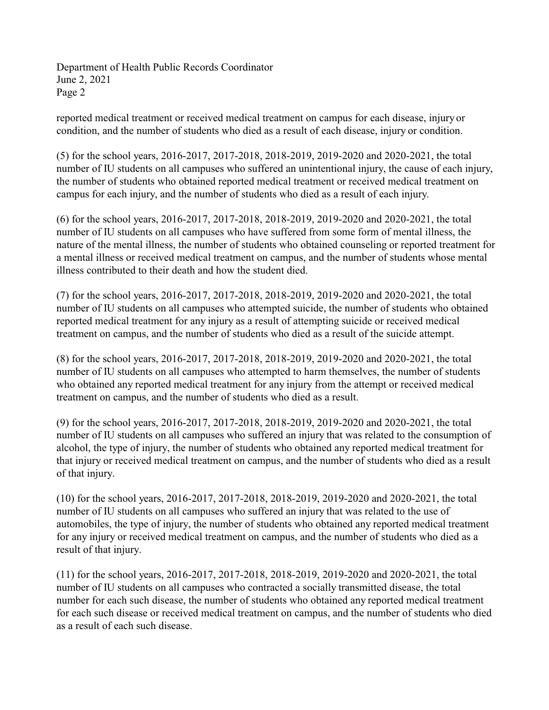Department of Health Public Records Coordinator June 2, 2021 Page 2

reported medical treatment or received medical treatment on campus for each disease, injury or condition, and the number of students who died as a result of each disease, injury or condition.

(5) for the school years, 2016-2017, 2017-2018, 2018-2019, 2019-2020 and 2020-2021, the total number of IU students on all campuses who suffered an unintentional injury, the cause of each injury, the number of students who obtained reported medical treatment or received medical treatment on campus for each injury, and the number of students who died as a result of each injury.

(6) for the school years, 2016-2017, 2017-2018, 2018-2019, 2019-2020 and 2020-2021, the total number of IU students on all campuses who have suffered from some form of mental illness, the nature of the mental illness, the number of students who obtained counseling or reported treatment for a mental illness or received medical treatment on campus, and the number of students whose mental illness contributed to their death and how the student died.

(7) for the school years, 2016-2017, 2017-2018, 2018-2019, 2019-2020 and 2020-2021, the total number of IU students on all campuses who attempted suicide, the number of students who obtained reported medical treatment for any injury as a result of attempting suicide or received medical treatment on campus, and the number of students who died as a result of the suicide attempt.

(8) for the school years, 2016-2017, 2017-2018, 2018-2019, 2019-2020 and 2020-2021, the total number of IU students on all campuses who attempted to harm themselves, the number of students who obtained any reported medical treatment for any injury from the attempt or received medical treatment on campus, and the number of students who died as a result.

(9) for the school years, 2016-2017, 2017-2018, 2018-2019, 2019-2020 and 2020-2021, the total number of IU students on all campuses who suffered an injury that was related to the consumption of alcohol, the type of injury, the number of students who obtained any reported medical treatment for that injury or received medical treatment on campus, and the number of students who died as a result of that injury.

(10) for the school years, 2016-2017, 2017-2018, 2018-2019, 2019-2020 and 2020-2021, the total number of IU students on all campuses who suffered an injury that was related to the use of automobiles, the type of injury, the number of students who obtained any reported medical treatment for any injury or received medical treatment on campus, and the number of students who died as a result of that injury.

(11) for the school years, 2016-2017, 2017-2018, 2018-2019, 2019-2020 and 2020-2021, the total number of IU students on all campuses who contracted a socially transmitted disease, the total number for each such disease, the number of students who obtained any reported medical treatment for each such disease or received medical treatment on campus, and the number of students who died as a result of each such disease.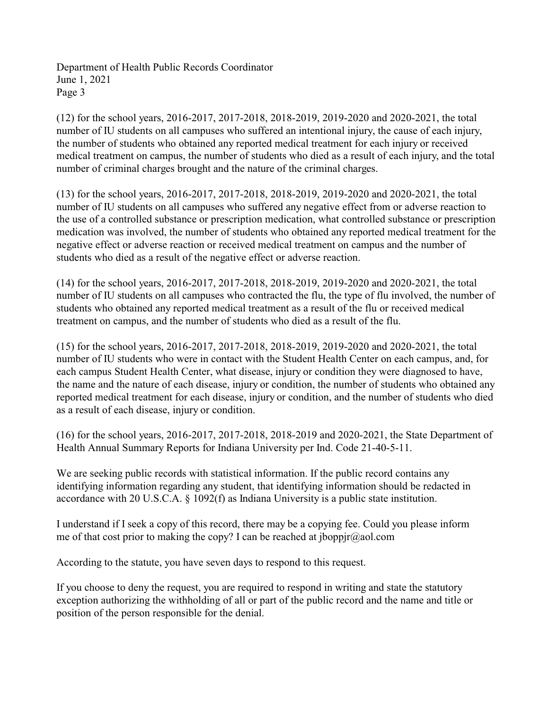Department of Health Public Records Coordinator June 1, 2021 Page 3

(12) for the school years, 2016-2017, 2017-2018, 2018-2019, 2019-2020 and 2020-2021, the total number of IU students on all campuses who suffered an intentional injury, the cause of each injury, the number of students who obtained any reported medical treatment for each injury or received medical treatment on campus, the number of students who died as a result of each injury, and the total number of criminal charges brought and the nature of the criminal charges.

(13) for the school years, 2016-2017, 2017-2018, 2018-2019, 2019-2020 and 2020-2021, the total number of IU students on all campuses who suffered any negative effect from or adverse reaction to the use of a controlled substance or prescription medication, what controlled substance or prescription medication was involved, the number of students who obtained any reported medical treatment for the negative effect or adverse reaction or received medical treatment on campus and the number of students who died as a result of the negative effect or adverse reaction.

(14) for the school years, 2016-2017, 2017-2018, 2018-2019, 2019-2020 and 2020-2021, the total number of IU students on all campuses who contracted the flu, the type of flu involved, the number of students who obtained any reported medical treatment as a result of the flu or received medical treatment on campus, and the number of students who died as a result of the flu.

(15) for the school years, 2016-2017, 2017-2018, 2018-2019, 2019-2020 and 2020-2021, the total number of IU students who were in contact with the Student Health Center on each campus, and, for each campus Student Health Center, what disease, injury or condition they were diagnosed to have, the name and the nature of each disease, injury or condition, the number of students who obtained any reported medical treatment for each disease, injury or condition, and the number of students who died as a result of each disease, injury or condition.

(16) for the school years, 2016-2017, 2017-2018, 2018-2019 and 2020-2021, the State Department of Health Annual Summary Reports for Indiana University per Ind. Code 21-40-5-11.

We are seeking public records with statistical information. If the public record contains any identifying information regarding any student, that identifying information should be redacted in accordance with 20 U.S.C.A. § 1092(f) as Indiana University is a public state institution.

I understand if I seek a copy of this record, there may be a copying fee. Could you please inform me of that cost prior to making the copy? I can be reached at jboppjr@aol.com

According to the statute, you have seven days to respond to this request.

If you choose to deny the request, you are required to respond in writing and state the statutory exception authorizing the withholding of all or part of the public record and the name and title or position of the person responsible for the denial.